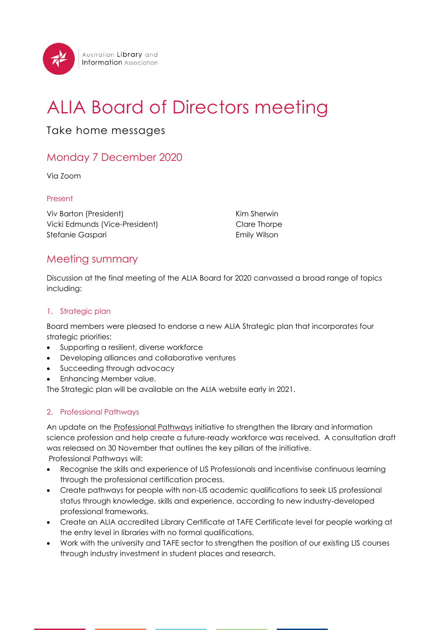

# ALIA Board of Directors meeting

# Take home messages

# Monday 7 December 2020

Via Zoom

# Present

Viv Barton (President) Vicki Edmunds (Vice-President) Stefanie Gaspari

Kim Sherwin Clare Thorpe Emily Wilson

# Meeting summary

Discussion at the final meeting of the ALIA Board for 2020 canvassed a broad range of topics including:

#### 1. Strategic plan

Board members were pleased to endorse a new ALIA Strategic plan that incorporates four strategic priorities:

- Supporting a resilient, diverse workforce
- Developing alliances and collaborative ventures
- Succeeding through advocacy
- Enhancing Member value.

The Strategic plan will be available on the ALIA website early in 2021.

# 2. Professional Pathways

An update on the [Professional Pathways](https://www.alia.org.au/advocacy-and-campaigns/professional-pathways/your-questions-answered) initiative to strengthen the library and information science profession and help create a future-ready workforce was received. A consultation draft was released on 30 November that outlines the key pillars of the initiative. Professional Pathways will:

- Recognise the skills and experience of LIS Professionals and incentivise continuous learning through the professional certification process.
- Create pathways for people with non-LIS academic qualifications to seek LIS professional status through knowledge, skills and experience, according to new industry-developed professional frameworks.
- Create an ALIA accredited Library Certificate at TAFE Certificate level for people working at the entry level in libraries with no formal qualifications.
- Work with the university and TAFE sector to strengthen the position of our existing LIS courses through industry investment in student places and research.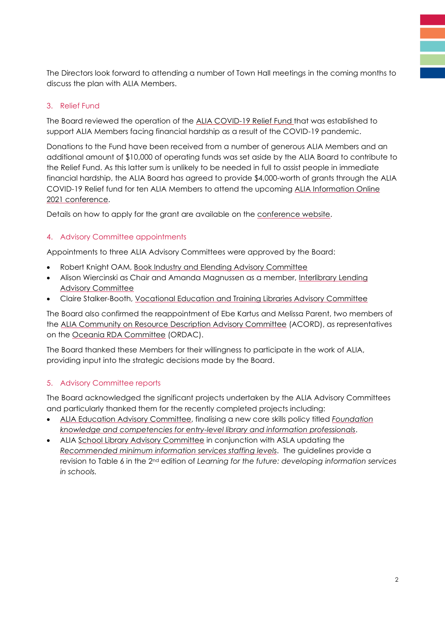The Directors look forward to attending a number of Town Hall meetings in the coming months to discuss the plan with ALIA Members.

# 3. Relief Fund

The Board reviewed the operation of the [ALIA COVID-19 Relief Fund](http://www.alia.org.au/alia-covid-19-relief-fund) that was established to support ALIA Members facing financial hardship as a result of the COVID-19 pandemic.

Donations to the Fund have been received from a number of generous ALIA Members and an additional amount of \$10,000 of operating funds was set aside by the ALIA Board to contribute to the Relief Fund. As this latter sum is unlikely to be needed in full to assist people in immediate financial hardship, the ALIA Board has agreed to provide \$4,000-worth of grants through the ALIA COVID-19 Relief fund for ten ALIA Members to attend the upcoming [ALIA Information Online](http://informationonline.alia.org.au/events/alia-information-online-2021-conference/event-summary-9ecf0baae2494dde9621c647258f15bc.aspx)  [2021 conference.](http://informationonline.alia.org.au/events/alia-information-online-2021-conference/event-summary-9ecf0baae2494dde9621c647258f15bc.aspx)

Details on how to apply for the grant are available on the [conference website.](http://informationonline.alia.org.au/events/alia-information-online-2021-conference/custom-132-9ecf0baae2494dde9621c647258f15bc.aspx)

# 4. Advisory Committee appointments

Appointments to three ALIA Advisory Committees were approved by the Board:

- Robert Knight OAM, [Book Industry and Elending Advisory Committee](https://www.alia.org.au/alia-book-industry-and-elending-advisory-committee)
- Alison Wiercinski as Chair and Amanda Magnussen as a member, Interlibrary Lending **[Advisory Committee](https://www.alia.org.au/alia-interlibrary-lending-advisory-committee)**
- Claire Stalker-Booth, [Vocational Education and Training Libraries Advisory Committee](https://www.alia.org.au/node/184/university-and-tafe-libraries)

The Board also confirmed the reappointment of Ebe Kartus and Melissa Parent, two members of the [ALIA Community on Resource Description Advisory Committee](https://www.alia.org.au/alia-community-resource-description) (ACORD), as representatives on the [Oceania RDA Committee](http://www.rda-rsc.org/oceania) (ORDAC).

The Board thanked these Members for their willingness to participate in the work of ALIA, providing input into the strategic decisions made by the Board.

#### 5. Advisory Committee reports

The Board acknowledged the significant projects undertaken by the ALIA Advisory Committees and particularly thanked them for the recently completed projects including:

- [ALIA Education Advisory Committee,](https://www.alia.org.au/alia-education-advisory-committee) finalising a new core skills policy titled *[Foundation](https://read.alia.org.au/foundation-knowledge-entry-level-library-and-information-professionals)  [knowledge and competencies for entry-level library and information professionals](https://read.alia.org.au/foundation-knowledge-entry-level-library-and-information-professionals)*.
- ALIA [School Library Advisory Committee](https://www.alia.org.au/groups/alia-schools) in conjunction with ASLA updating the *[Recommended minimum information services staffing levels](https://read.alia.org.au/asla-alia-recommended-minimum-information-services-staffing-levels-table-6-revised)*. The guidelines provide a revision to Table 6 in the 2<sup>nd</sup> edition of Learning for the future: developing information services *in schools.*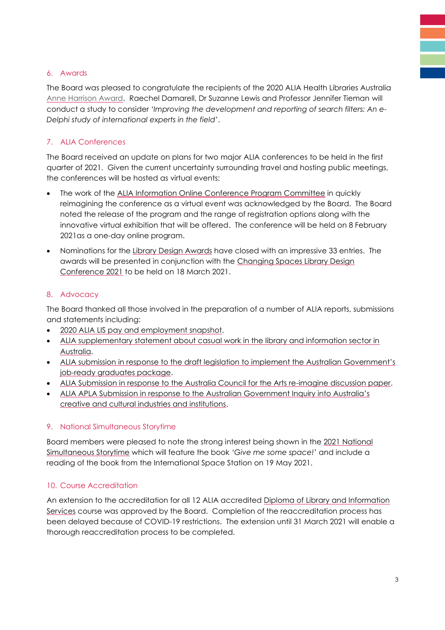# 6. Awards

The Board was pleased to congratulate the recipients of the 2020 ALIA Health Libraries Australia [Anne Harrison Award.](https://www.alia.org.au/about-alia/awards-and-grants/352/anne-harrison-award) Raechel Damarell, Dr Suzanne Lewis and Professor Jennifer Tieman will conduct a study to consider *'Improving the development and reporting of search filters: An e-Delphi study of international experts in the field'*.

# 7. ALIA Conferences

The Board received an update on plans for two major ALIA conferences to be held in the first quarter of 2021. Given the current uncertainty surrounding travel and hosting public meetings, the conferences will be hosted as virtual events:

- The work of the [ALIA Information Online Conference Program Committee](http://informationonline.alia.org.au/events/alia-information-online-2021-conference/event-summary-9ecf0baae2494dde9621c647258f15bc.aspx) in quickly reimagining the conference as a virtual event was acknowledged by the Board. The Board noted the release of the program and the range of registration options along with the innovative virtual exhibition that will be offered. The conference will be held on 8 February 2021as a one-day online program.
- Nominations for the [Library Design Awards](http://www.alia.org.au/awards/australian-library-design-awards-2021) have closed with an impressive 33 entries. The awards will be presented in conjunction with the [Changing Spaces Library Design](http://www.alia.org.au/changing-spaces-library-design-virtual-conference-2021)  [Conference 2021](http://www.alia.org.au/changing-spaces-library-design-virtual-conference-2021) to be held on 18 March 2021.

# 8. Advocacy

The Board thanked all those involved in the preparation of a number of ALIA reports, submissions and statements including:

- [2020 ALIA LIS pay and employment snapshot.](https://read.alia.org.au/alia-lis-pay-and-employment-snapshot-2020)
- [ALIA supplementary statement about casual work in the library and information sector in](http://www.alia.org.au/alia-supplementary-statement-about-casual-work-library-and-information-sector-australia)  [Australia.](http://www.alia.org.au/alia-supplementary-statement-about-casual-work-library-and-information-sector-australia)
- ALIA submission [in response to the draft legislation to implement the Australian Government's](https://read.alia.org.au/alia-submission-response-draft-legislation-implement-australian-government%E2%80%99s-job-ready-graduates)  [job-ready graduates package.](https://read.alia.org.au/alia-submission-response-draft-legislation-implement-australian-government%E2%80%99s-job-ready-graduates)
- [ALIA Submission in response to the Australia Council for the Arts re-imagine discussion paper.](https://read.alia.org.au/alia-submission-response-australia-council-arts-re-imagine-discussion-paper-october-2020)
- ALIA APLA [Submission in response to the Australian Government Inquiry into Australia's](https://read.alia.org.au/alia-apla-submission-response-australian-government-inquiry-australia%E2%80%99s-creative-and-cultural)  [creative and cultural industries and institutions.](https://read.alia.org.au/alia-apla-submission-response-australian-government-inquiry-australia%E2%80%99s-creative-and-cultural)

# 9. National Simultaneous Storytime

Board members were pleased to note the strong interest being shown in the [2021 National](https://www.alia.org.au/nss)  [Simultaneous Storytime](https://www.alia.org.au/nss) which will feature the book *'Give me some space!'* and include a reading of the book from the International Space Station on 19 May 2021.

#### 10. Course Accreditation

An extension to the accreditation for all 12 ALIA accredited [Diploma of Library and Information](https://www.alia.org.au/library-technicians)  [Services](https://www.alia.org.au/library-technicians) course was approved by the Board. Completion of the reaccreditation process has been delayed because of COVID-19 restrictions. The extension until 31 March 2021 will enable a thorough reaccreditation process to be completed.